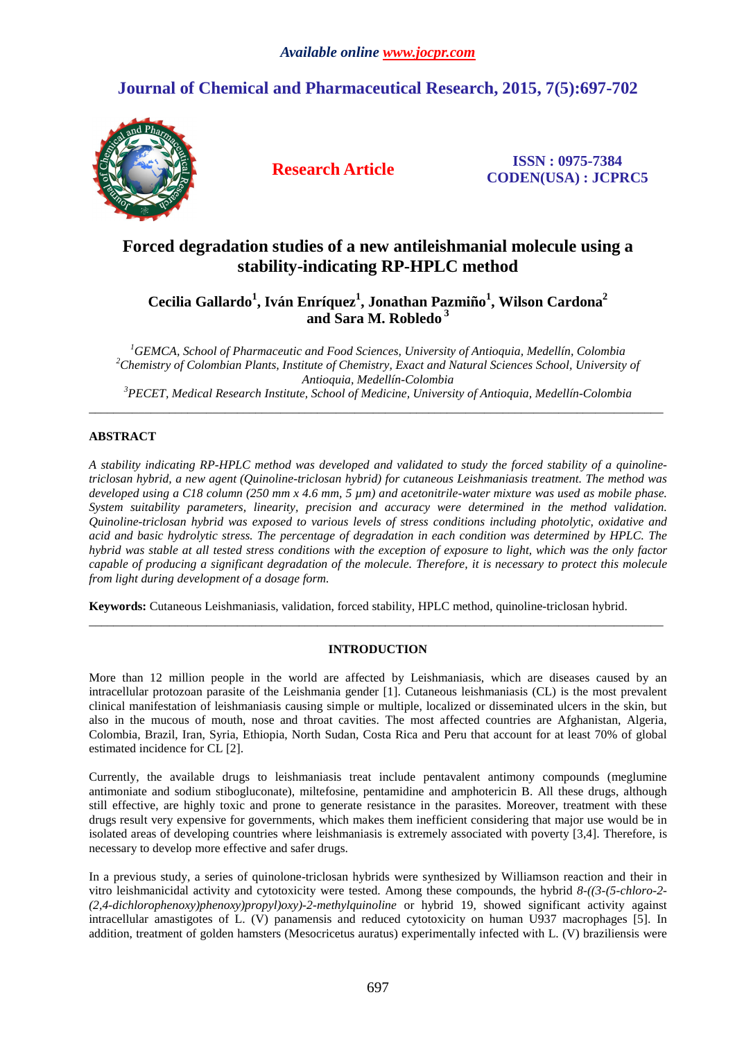# **Journal of Chemical and Pharmaceutical Research, 2015, 7(5):697-702**



**Research Article ISSN : 0975-7384 CODEN(USA) : JCPRC5**

## **Forced degradation studies of a new antileishmanial molecule using a stability-indicating RP-HPLC method**

**Cecilia Gallardo<sup>1</sup> , Iván Enríquez<sup>1</sup> , Jonathan Pazmiño<sup>1</sup> , Wilson Cardona<sup>2</sup> and Sara M. Robledo<sup>3</sup>**

*GEMCA, School of Pharmaceutic and Food Sciences, University of Antioquia, Medellín, Colombia Chemistry of Colombian Plants, Institute of Chemistry, Exact and Natural Sciences School, University of Antioquia, Medellín-Colombia PECET, Medical Research Institute, School of Medicine, University of Antioquia, Medellín-Colombia* 

\_\_\_\_\_\_\_\_\_\_\_\_\_\_\_\_\_\_\_\_\_\_\_\_\_\_\_\_\_\_\_\_\_\_\_\_\_\_\_\_\_\_\_\_\_\_\_\_\_\_\_\_\_\_\_\_\_\_\_\_\_\_\_\_\_\_\_\_\_\_\_\_\_\_\_\_\_\_\_\_\_\_\_\_\_\_\_\_\_\_\_\_\_

## **ABSTRACT**

*A stability indicating RP-HPLC method was developed and validated to study the forced stability of a quinolinetriclosan hybrid, a new agent (Quinoline-triclosan hybrid) for cutaneous Leishmaniasis treatment. The method was developed using a C18 column (250 mm x 4.6 mm, 5 µm) and acetonitrile-water mixture was used as mobile phase. System suitability parameters, linearity, precision and accuracy were determined in the method validation. Quinoline-triclosan hybrid was exposed to various levels of stress conditions including photolytic, oxidative and acid and basic hydrolytic stress. The percentage of degradation in each condition was determined by HPLC. The hybrid was stable at all tested stress conditions with the exception of exposure to light, which was the only factor capable of producing a significant degradation of the molecule. Therefore, it is necessary to protect this molecule from light during development of a dosage form.* 

**Keywords:** Cutaneous Leishmaniasis, validation, forced stability, HPLC method, quinoline-triclosan hybrid.

## **INTRODUCTION**

\_\_\_\_\_\_\_\_\_\_\_\_\_\_\_\_\_\_\_\_\_\_\_\_\_\_\_\_\_\_\_\_\_\_\_\_\_\_\_\_\_\_\_\_\_\_\_\_\_\_\_\_\_\_\_\_\_\_\_\_\_\_\_\_\_\_\_\_\_\_\_\_\_\_\_\_\_\_\_\_\_\_\_\_\_\_\_\_\_\_\_\_\_

More than 12 million people in the world are affected by Leishmaniasis, which are diseases caused by an intracellular protozoan parasite of the Leishmania gender [1]. Cutaneous leishmaniasis (CL) is the most prevalent clinical manifestation of leishmaniasis causing simple or multiple, localized or disseminated ulcers in the skin, but also in the mucous of mouth, nose and throat cavities. The most affected countries are Afghanistan, Algeria, Colombia, Brazil, Iran, Syria, Ethiopia, North Sudan, Costa Rica and Peru that account for at least 70% of global estimated incidence for CL [2].

Currently, the available drugs to leishmaniasis treat include pentavalent antimony compounds (meglumine antimoniate and sodium stibogluconate), miltefosine, pentamidine and amphotericin B. All these drugs, although still effective, are highly toxic and prone to generate resistance in the parasites. Moreover, treatment with these drugs result very expensive for governments, which makes them inefficient considering that major use would be in isolated areas of developing countries where leishmaniasis is extremely associated with poverty [3,4]. Therefore, is necessary to develop more effective and safer drugs.

In a previous study, a series of quinolone-triclosan hybrids were synthesized by Williamson reaction and their in vitro leishmanicidal activity and cytotoxicity were tested. Among these compounds, the hybrid *8-((3-(5-chloro-2- (2,4-dichlorophenoxy)phenoxy)propyl)oxy)-2-methylquinoline* or hybrid 19, showed significant activity against intracellular amastigotes of L. (V) panamensis and reduced cytotoxicity on human U937 macrophages [5]. In addition, treatment of golden hamsters (Mesocricetus auratus) experimentally infected with L. (V) braziliensis were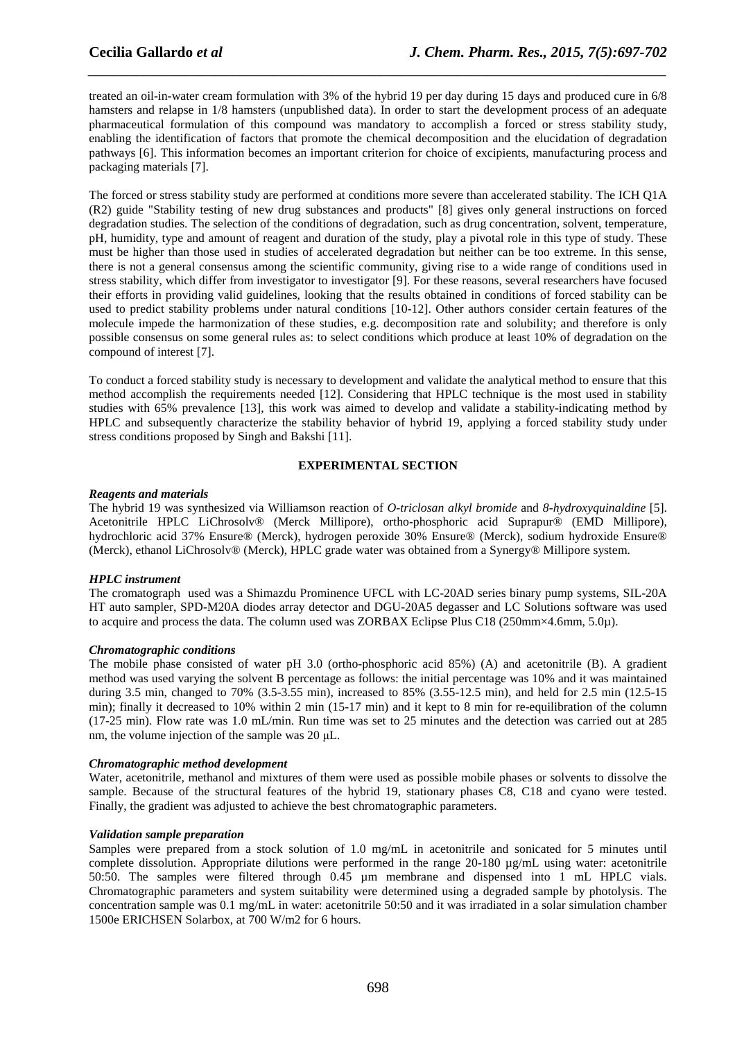treated an oil-in-water cream formulation with 3% of the hybrid 19 per day during 15 days and produced cure in 6/8 hamsters and relapse in 1/8 hamsters (unpublished data). In order to start the development process of an adequate pharmaceutical formulation of this compound was mandatory to accomplish a forced or stress stability study, enabling the identification of factors that promote the chemical decomposition and the elucidation of degradation pathways [6]. This information becomes an important criterion for choice of excipients, manufacturing process and packaging materials [7].

*\_\_\_\_\_\_\_\_\_\_\_\_\_\_\_\_\_\_\_\_\_\_\_\_\_\_\_\_\_\_\_\_\_\_\_\_\_\_\_\_\_\_\_\_\_\_\_\_\_\_\_\_\_\_\_\_\_\_\_\_\_\_\_\_\_\_\_\_\_\_\_\_\_\_\_\_\_\_*

The forced or stress stability study are performed at conditions more severe than accelerated stability. The ICH Q1A (R2) guide "Stability testing of new drug substances and products" [8] gives only general instructions on forced degradation studies. The selection of the conditions of degradation, such as drug concentration, solvent, temperature, pH, humidity, type and amount of reagent and duration of the study, play a pivotal role in this type of study. These must be higher than those used in studies of accelerated degradation but neither can be too extreme. In this sense, there is not a general consensus among the scientific community, giving rise to a wide range of conditions used in stress stability, which differ from investigator to investigator [9]. For these reasons, several researchers have focused their efforts in providing valid guidelines, looking that the results obtained in conditions of forced stability can be used to predict stability problems under natural conditions [10-12]. Other authors consider certain features of the molecule impede the harmonization of these studies, e.g. decomposition rate and solubility; and therefore is only possible consensus on some general rules as: to select conditions which produce at least 10% of degradation on the compound of interest [7].

To conduct a forced stability study is necessary to development and validate the analytical method to ensure that this method accomplish the requirements needed [12]. Considering that HPLC technique is the most used in stability studies with 65% prevalence [13], this work was aimed to develop and validate a stability-indicating method by HPLC and subsequently characterize the stability behavior of hybrid 19, applying a forced stability study under stress conditions proposed by Singh and Bakshi [11].

## **EXPERIMENTAL SECTION**

## *Reagents and materials*

The hybrid 19 was synthesized via Williamson reaction of *O-triclosan alkyl bromide* and *8-hydroxyquinaldine* [5]. Acetonitrile HPLC LiChrosolv® (Merck Millipore), ortho-phosphoric acid Suprapur® (EMD Millipore), hydrochloric acid 37% Ensure® (Merck), hydrogen peroxide 30% Ensure® (Merck), sodium hydroxide Ensure® (Merck), ethanol LiChrosolv® (Merck), HPLC grade water was obtained from a Synergy® Millipore system.

## *HPLC instrument*

The cromatograph used was a Shimazdu Prominence UFCL with LC-20AD series binary pump systems, SIL-20A HT auto sampler, SPD-M20A diodes array detector and DGU-20A5 degasser and LC Solutions software was used to acquire and process the data. The column used was ZORBAX Eclipse Plus C18 (250mm×4.6mm, 5.0µ).

## *Chromatographic conditions*

The mobile phase consisted of water pH 3.0 (ortho-phosphoric acid 85%) (A) and acetonitrile (B). A gradient method was used varying the solvent B percentage as follows: the initial percentage was 10% and it was maintained during 3.5 min, changed to 70% (3.5-3.55 min), increased to 85% (3.55-12.5 min), and held for 2.5 min (12.5-15 min); finally it decreased to 10% within 2 min (15-17 min) and it kept to 8 min for re-equilibration of the column (17-25 min). Flow rate was 1.0 mL/min. Run time was set to 25 minutes and the detection was carried out at 285 nm, the volume injection of the sample was 20 µL.

## *Chromatographic method development*

Water, acetonitrile, methanol and mixtures of them were used as possible mobile phases or solvents to dissolve the sample. Because of the structural features of the hybrid 19, stationary phases C8, C18 and cyano were tested. Finally, the gradient was adjusted to achieve the best chromatographic parameters.

## *Validation sample preparation*

Samples were prepared from a stock solution of 1.0 mg/mL in acetonitrile and sonicated for 5 minutes until complete dissolution. Appropriate dilutions were performed in the range  $20-180$  ug/mL using water: acetonitrile 50:50. The samples were filtered through 0.45 µm membrane and dispensed into 1 mL HPLC vials. Chromatographic parameters and system suitability were determined using a degraded sample by photolysis. The concentration sample was 0.1 mg/mL in water: acetonitrile 50:50 and it was irradiated in a solar simulation chamber 1500e ERICHSEN Solarbox, at 700 W/m2 for 6 hours.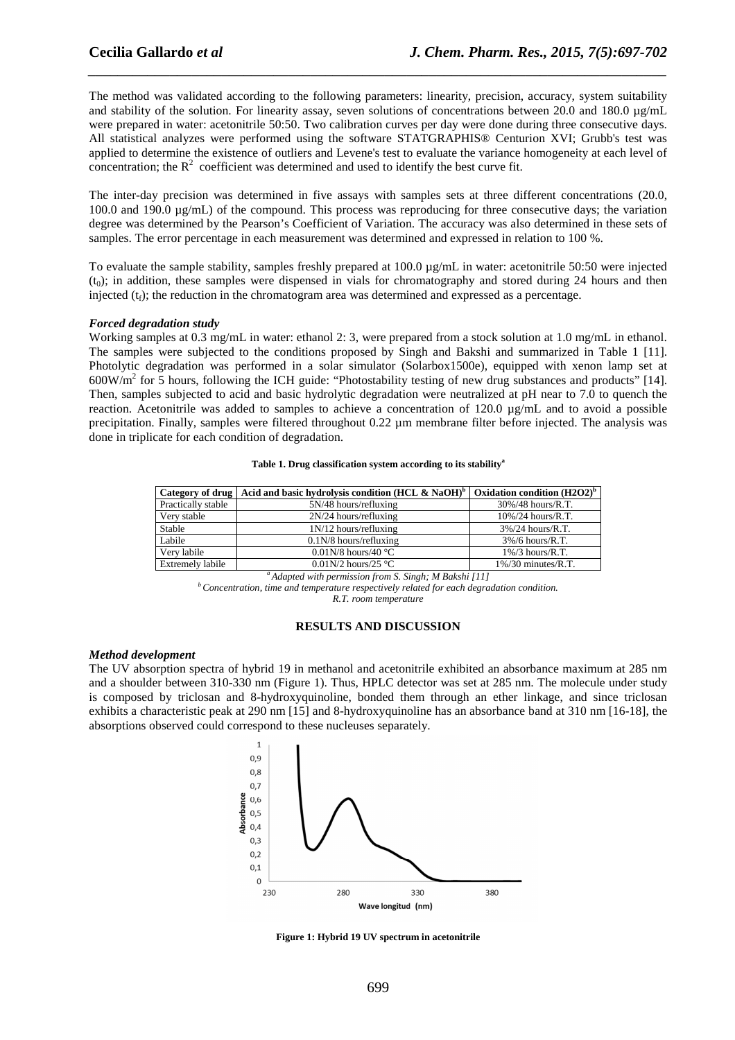The method was validated according to the following parameters: linearity, precision, accuracy, system suitability and stability of the solution. For linearity assay, seven solutions of concentrations between 20.0 and 180.0  $\mu$ g/mL were prepared in water: acetonitrile 50:50. Two calibration curves per day were done during three consecutive days. All statistical analyzes were performed using the software STATGRAPHIS® Centurion XVI; Grubb's test was applied to determine the existence of outliers and Levene's test to evaluate the variance homogeneity at each level of concentration; the  $R^2$  coefficient was determined and used to identify the best curve fit.

*\_\_\_\_\_\_\_\_\_\_\_\_\_\_\_\_\_\_\_\_\_\_\_\_\_\_\_\_\_\_\_\_\_\_\_\_\_\_\_\_\_\_\_\_\_\_\_\_\_\_\_\_\_\_\_\_\_\_\_\_\_\_\_\_\_\_\_\_\_\_\_\_\_\_\_\_\_\_*

The inter-day precision was determined in five assays with samples sets at three different concentrations (20.0, 100.0 and 190.0 µg/mL) of the compound. This process was reproducing for three consecutive days; the variation degree was determined by the Pearson's Coefficient of Variation. The accuracy was also determined in these sets of samples. The error percentage in each measurement was determined and expressed in relation to 100 %.

To evaluate the sample stability, samples freshly prepared at 100.0 µg/mL in water: acetonitrile 50:50 were injected  $(t<sub>o</sub>)$ ; in addition, these samples were dispensed in vials for chromatography and stored during 24 hours and then injected  $(t_f)$ ; the reduction in the chromatogram area was determined and expressed as a percentage.

#### *Forced degradation study*

Working samples at 0.3 mg/mL in water: ethanol 2: 3, were prepared from a stock solution at 1.0 mg/mL in ethanol. The samples were subjected to the conditions proposed by Singh and Bakshi and summarized in Table 1 [11]. Photolytic degradation was performed in a solar simulator (Solarbox1500e), equipped with xenon lamp set at  $600W/m<sup>2</sup>$  for 5 hours, following the ICH guide: "Photostability testing of new drug substances and products" [14]. Then, samples subjected to acid and basic hydrolytic degradation were neutralized at pH near to 7.0 to quench the reaction. Acetonitrile was added to samples to achieve a concentration of 120.0 µg/mL and to avoid a possible precipitation. Finally, samples were filtered throughout 0.22 µm membrane filter before injected. The analysis was done in triplicate for each condition of degradation.

|  |  | Table 1. Drug classification system according to its stability <sup>a</sup> |
|--|--|-----------------------------------------------------------------------------|
|--|--|-----------------------------------------------------------------------------|

|                         | Category of drug   Acid and basic hydrolysis condition (HCL & NaOH) <sup>b</sup> | Oxidation condition $(H2O2)^b$ |
|-------------------------|----------------------------------------------------------------------------------|--------------------------------|
| Practically stable      | $5N/48$ hours/refluxing                                                          | 30%/48 hours/R.T.              |
| Very stable             | $2N/24$ hours/refluxing                                                          | $10\%/24$ hours/R.T.           |
| Stable                  | $1N/12$ hours/refluxing                                                          | $3\%/24$ hours/R.T.            |
| Labile                  | $0.1N/8$ hours/refluxing                                                         | $3\%/6$ hours/R.T.             |
| Very labile             | 0.01N/8 hours/40 $^{\circ}$ C                                                    | $1\%/3$ hours/R.T.             |
| <b>Extremely labile</b> | $0.01N/2$ hours/25 °C                                                            | $1\%/30$ minutes/R.T.          |

*<sup>a</sup>Adapted with permission from S. Singh; M Bakshi [11]* 

*<sup>b</sup>Concentration, time and temperature respectively related for each degradation condition.* 

*R.T. room temperature* 

#### **RESULTS AND DISCUSSION**

#### *Method development*

The UV absorption spectra of hybrid 19 in methanol and acetonitrile exhibited an absorbance maximum at 285 nm and a shoulder between 310-330 nm (Figure 1). Thus, HPLC detector was set at 285 nm. The molecule under study is composed by triclosan and 8-hydroxyquinoline, bonded them through an ether linkage, and since triclosan exhibits a characteristic peak at 290 nm [15] and 8-hydroxyquinoline has an absorbance band at 310 nm [16-18], the absorptions observed could correspond to these nucleuses separately.



**Figure 1: Hybrid 19 UV spectrum in acetonitrile**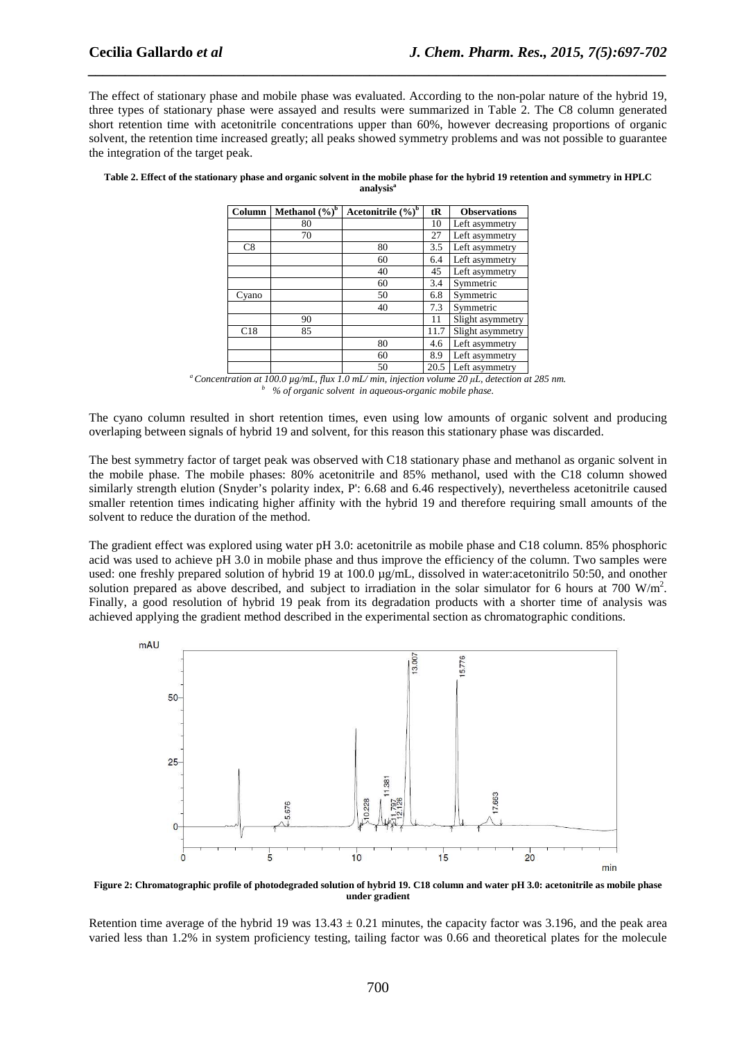The effect of stationary phase and mobile phase was evaluated. According to the non-polar nature of the hybrid 19, three types of stationary phase were assayed and results were summarized in Table 2. The C8 column generated short retention time with acetonitrile concentrations upper than 60%, however decreasing proportions of organic solvent, the retention time increased greatly; all peaks showed symmetry problems and was not possible to guarantee the integration of the target peak.

*\_\_\_\_\_\_\_\_\_\_\_\_\_\_\_\_\_\_\_\_\_\_\_\_\_\_\_\_\_\_\_\_\_\_\_\_\_\_\_\_\_\_\_\_\_\_\_\_\_\_\_\_\_\_\_\_\_\_\_\_\_\_\_\_\_\_\_\_\_\_\_\_\_\_\_\_\_\_*

| Table 2. Effect of the stationary phase and organic solvent in the mobile phase for the hybrid 19 retention and symmetry in HPLC |
|----------------------------------------------------------------------------------------------------------------------------------|
| analysis <sup>a</sup>                                                                                                            |

| Column | Methanol $(\sqrt[6]{\cdot})^b$ | Acetonitrile $(\%)^b$ | tR   | <b>Observations</b> |
|--------|--------------------------------|-----------------------|------|---------------------|
|        | 80                             |                       | 10   | Left asymmetry      |
|        | 70                             |                       | 27   | Left asymmetry      |
| C8     |                                | 80                    | 3.5  | Left asymmetry      |
|        |                                | 60                    | 6.4  | Left asymmetry      |
|        |                                | 40                    | 45   | Left asymmetry      |
|        |                                | 60                    | 3.4  | Symmetric           |
| Cyano  |                                | 50                    | 6.8  | Symmetric           |
|        |                                | 40                    | 7.3  | Symmetric           |
|        | 90                             |                       | 11   | Slight asymmetry    |
| C18    | 85                             |                       | 11.7 | Slight asymmetry    |
|        |                                | 80                    | 4.6  | Left asymmetry      |
|        |                                | 60                    | 8.9  | Left asymmetry      |
|        |                                | 50                    | 20.5 | Left asymmetry      |

*<sup>a</sup>Concentration at 100.0 µg/mL, flux 1.0 mL/ min, injection volume 20 µL, detection at 285 nm. b % of organic solvent in aqueous-organic mobile phase.* 

The cyano column resulted in short retention times, even using low amounts of organic solvent and producing overlaping between signals of hybrid 19 and solvent, for this reason this stationary phase was discarded.

The best symmetry factor of target peak was observed with C18 stationary phase and methanol as organic solvent in the mobile phase. The mobile phases: 80% acetonitrile and 85% methanol, used with the C18 column showed similarly strength elution (Snyder's polarity index, P': 6.68 and 6.46 respectively), nevertheless acetonitrile caused smaller retention times indicating higher affinity with the hybrid 19 and therefore requiring small amounts of the solvent to reduce the duration of the method.

The gradient effect was explored using water pH 3.0: acetonitrile as mobile phase and C18 column. 85% phosphoric acid was used to achieve pH 3.0 in mobile phase and thus improve the efficiency of the column. Two samples were used: one freshly prepared solution of hybrid 19 at 100.0 µg/mL, dissolved in water:acetonitrilo 50:50, and onother solution prepared as above described, and subject to irradiation in the solar simulator for 6 hours at 700 W/m<sup>2</sup>. Finally, a good resolution of hybrid 19 peak from its degradation products with a shorter time of analysis was achieved applying the gradient method described in the experimental section as chromatographic conditions.



**Figure 2: Chromatographic profile of photodegraded solution of hybrid 19. C18 column and water pH 3.0: acetonitrile as mobile phase under gradient** 

Retention time average of the hybrid 19 was  $13.43 \pm 0.21$  minutes, the capacity factor was 3.196, and the peak area varied less than 1.2% in system proficiency testing, tailing factor was 0.66 and theoretical plates for the molecule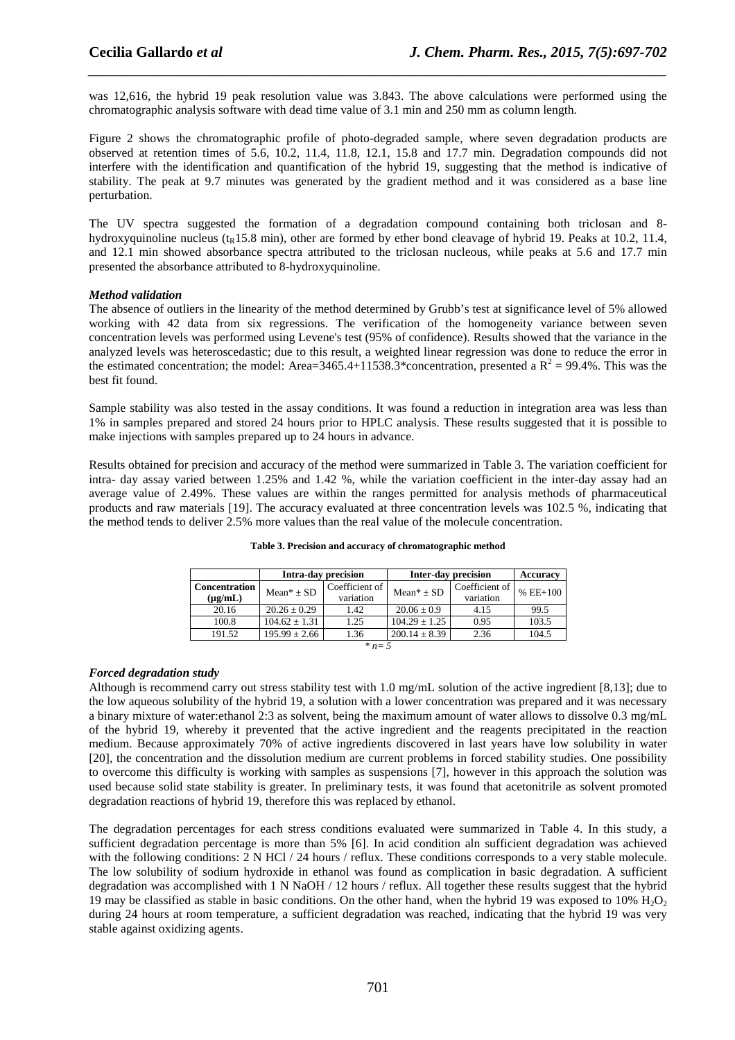was 12,616, the hybrid 19 peak resolution value was 3.843. The above calculations were performed using the chromatographic analysis software with dead time value of 3.1 min and 250 mm as column length.

*\_\_\_\_\_\_\_\_\_\_\_\_\_\_\_\_\_\_\_\_\_\_\_\_\_\_\_\_\_\_\_\_\_\_\_\_\_\_\_\_\_\_\_\_\_\_\_\_\_\_\_\_\_\_\_\_\_\_\_\_\_\_\_\_\_\_\_\_\_\_\_\_\_\_\_\_\_\_*

Figure 2 shows the chromatographic profile of photo-degraded sample, where seven degradation products are observed at retention times of 5.6, 10.2, 11.4, 11.8, 12.1, 15.8 and 17.7 min. Degradation compounds did not interfere with the identification and quantification of the hybrid 19, suggesting that the method is indicative of stability. The peak at 9.7 minutes was generated by the gradient method and it was considered as a base line perturbation.

The UV spectra suggested the formation of a degradation compound containing both triclosan and 8 hydroxyquinoline nucleus ( $t_R$ 15.8 min), other are formed by ether bond cleavage of hybrid 19. Peaks at 10.2, 11.4, and 12.1 min showed absorbance spectra attributed to the triclosan nucleous, while peaks at 5.6 and 17.7 min presented the absorbance attributed to 8-hydroxyquinoline.

## *Method validation*

The absence of outliers in the linearity of the method determined by Grubb's test at significance level of 5% allowed working with 42 data from six regressions. The verification of the homogeneity variance between seven concentration levels was performed using Levene's test (95% of confidence). Results showed that the variance in the analyzed levels was heteroscedastic; due to this result, a weighted linear regression was done to reduce the error in the estimated concentration; the model: Area=3465.4+11538.3\*concentration, presented a  $R^2$  = 99.4%. This was the best fit found.

Sample stability was also tested in the assay conditions. It was found a reduction in integration area was less than 1% in samples prepared and stored 24 hours prior to HPLC analysis. These results suggested that it is possible to make injections with samples prepared up to 24 hours in advance.

Results obtained for precision and accuracy of the method were summarized in Table 3. The variation coefficient for intra- day assay varied between 1.25% and 1.42 %, while the variation coefficient in the inter-day assay had an average value of 2.49%. These values are within the ranges permitted for analysis methods of pharmaceutical products and raw materials [19]. The accuracy evaluated at three concentration levels was 102.5 %, indicating that the method tends to deliver 2.5% more values than the real value of the molecule concentration.

|                                      | Intra-day precision |                             | <b>Inter-day precision</b> |                             | Accuracy   |
|--------------------------------------|---------------------|-----------------------------|----------------------------|-----------------------------|------------|
| <b>Concentration</b><br>$(\mu g/mL)$ | $Mean* + SD$        | Coefficient of<br>variation | $Mean* + SD$               | Coefficient of<br>variation | $% EE+100$ |
| 20.16                                | $20.26 + 0.29$      | 1.42                        | $20.06 \pm 0.9$            | 4.15                        | 99.5       |
| 100.8                                | $104.62 + 1.31$     | 1.25                        | $104.29 \pm 1.25$          | 0.95                        | 103.5      |
| 191.52                               | $195.99 + 2.66$     | 1.36                        | $200.14 + 8.39$            | 2.36                        | 104.5      |
| $*_{n=5}$                            |                     |                             |                            |                             |            |

**Table 3. Precision and accuracy of chromatographic method** 

## *Forced degradation study*

Although is recommend carry out stress stability test with 1.0 mg/mL solution of the active ingredient [8,13]; due to the low aqueous solubility of the hybrid 19, a solution with a lower concentration was prepared and it was necessary a binary mixture of water:ethanol 2:3 as solvent, being the maximum amount of water allows to dissolve 0.3 mg/mL of the hybrid 19, whereby it prevented that the active ingredient and the reagents precipitated in the reaction medium. Because approximately 70% of active ingredients discovered in last years have low solubility in water [20], the concentration and the dissolution medium are current problems in forced stability studies. One possibility to overcome this difficulty is working with samples as suspensions [7], however in this approach the solution was used because solid state stability is greater. In preliminary tests, it was found that acetonitrile as solvent promoted degradation reactions of hybrid 19, therefore this was replaced by ethanol.

The degradation percentages for each stress conditions evaluated were summarized in Table 4. In this study, a sufficient degradation percentage is more than 5% [6]. In acid condition aln sufficient degradation was achieved with the following conditions: 2 N HCl / 24 hours / reflux. These conditions corresponds to a very stable molecule. The low solubility of sodium hydroxide in ethanol was found as complication in basic degradation. A sufficient degradation was accomplished with 1 N NaOH / 12 hours / reflux. All together these results suggest that the hybrid 19 may be classified as stable in basic conditions. On the other hand, when the hybrid 19 was exposed to 10%  $H<sub>2</sub>O<sub>2</sub>$ during 24 hours at room temperature, a sufficient degradation was reached, indicating that the hybrid 19 was very stable against oxidizing agents.